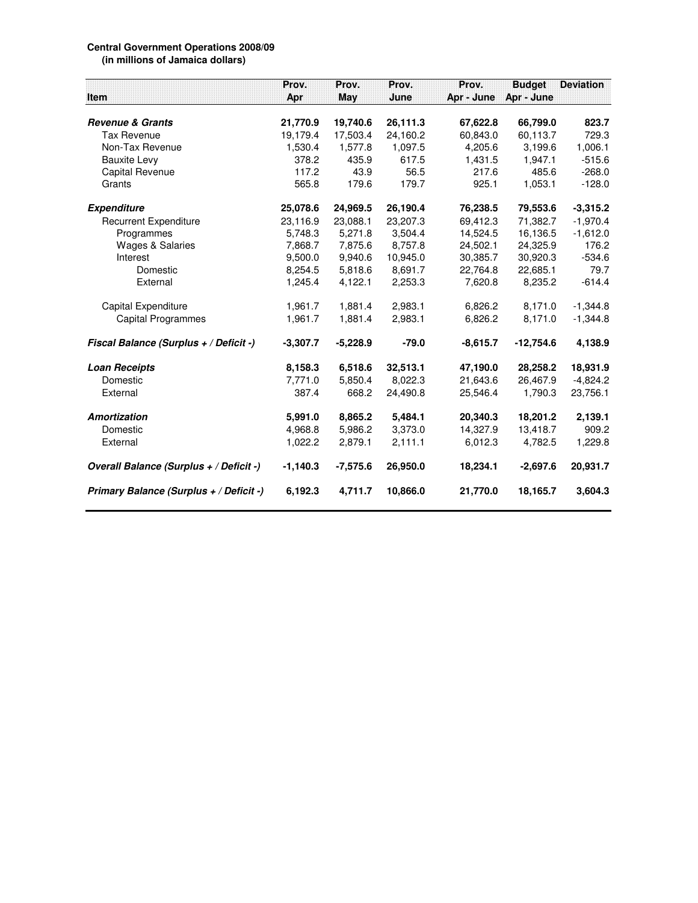## **Central Government Operations 2008/09 (in millions of Jamaica dollars)**

**Prov. Prov. Prov. Prov. Budget Deviation Item Apr May June Apr - June Apr - June Revenue & Grants 21,770.9 19,740.6 26,111.3 67,622.8 66,799.0 823.7** Tax Revenue 19,179.4 17,503.4 24,160.2 60,843.0 60,113.7 729.3 Non-Tax Revenue 1,530.4 1,577.8 1,097.5 4,205.6 3,199.6 1,006.1 Bauxite Levy 378.2 435.9 617.5 1,431.5 1,947.1 -515.6 Capital Revenue 117.2 43.9 56.5 217.6 485.6 -268.0 Grants 565.8 179.6 179.7 925.1 1,053.1 -128.0 **Expenditure 25,078.6 24,969.5 26,190.4 76,238.5 79,553.6 -3,315.2** Recurrent Expenditure 23,116.9 23,088.1 23,207.3 69,412.3 71,382.7 -1,970.4 Programmes 5,748.3 5,271.8 3,504.4 14,524.5 16,136.5 -1,612.0 Wages & Salaries **7,868.7** 7,875.6 8,757.8 24,502.1 24,325.9 176.2 Interest 9,500.0 9,940.6 10,945.0 30,385.7 30,920.3 -534.6 Domestic 8,254.5 5,818.6 8,691.7 22,764.8 22,685.1 79.7 External 1,245.4 4,122.1 2,253.3 7,620.8 8,235.2 -614.4 Capital Expenditure 1,961.7 1,881.4 2,983.1 6,826.2 8,171.0 -1,344.8 Capital Programmes 1,961.7 1,881.4 2,983.1 6,826.2 8,171.0 -1,344.8 **Fiscal Balance (Surplus + / Deficit -) -3,307.7 -5,228.9 -79.0 -8,615.7 -12,754.6 4,138.9 Loan Receipts 8,158.3 6,518.6 32,513.1 47,190.0 28,258.2 18,931.9** Domestic 7,771.0 5,850.4 8,022.3 21,643.6 26,467.9 -4,824.2 External 387.4 668.2 24,490.8 25,546.4 1,790.3 23,756.1 **Amortization 5,991.0 8,865.2 5,484.1 20,340.3 18,201.2 2,139.1** Domestic 4,968.8 5,986.2 3,373.0 14,327.9 13,418.7 909.2 External 1,022.2 2,879.1 2,111.1 6,012.3 4,782.5 1,229.8 **Overall Balance (Surplus + / Deficit -) -1,140.3 -7,575.6 26,950.0 18,234.1 -2,697.6 20,931.7 Primary Balance (Surplus + / Deficit -) 6,192.3 4,711.7 10,866.0 21,770.0 18,165.7 3,604.3**